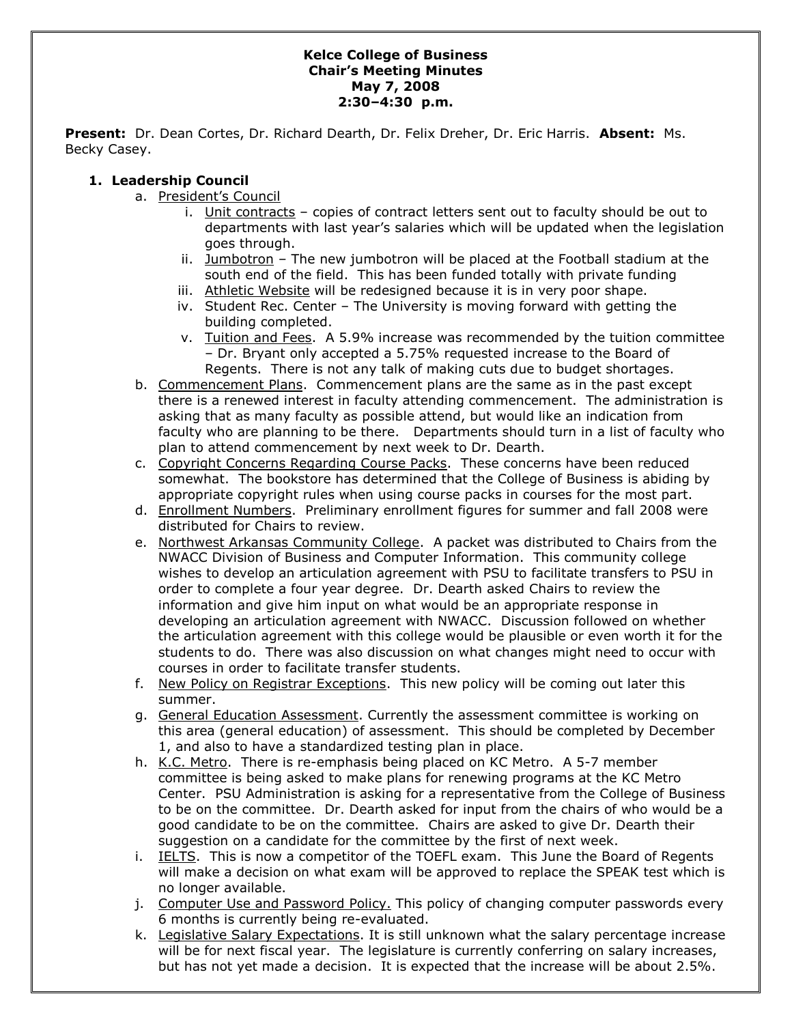#### **Kelce College of Business Chair's Meeting Minutes May 7, 2008 2:30–4:30 p.m.**

**Present:** Dr. Dean Cortes, Dr. Richard Dearth, Dr. Felix Dreher, Dr. Eric Harris. **Absent:** Ms. Becky Casey.

### **1. Leadership Council**

- a. President's Council
	- i. Unit contracts copies of contract letters sent out to faculty should be out to departments with last year's salaries which will be updated when the legislation goes through.
	- ii. Jumbotron The new jumbotron will be placed at the Football stadium at the south end of the field. This has been funded totally with private funding
	- iii. Athletic Website will be redesigned because it is in very poor shape.
	- iv. Student Rec. Center The University is moving forward with getting the building completed.
	- v. Tuition and Fees. A 5.9% increase was recommended by the tuition committee – Dr. Bryant only accepted a 5.75% requested increase to the Board of Regents. There is not any talk of making cuts due to budget shortages.
- b. Commencement Plans. Commencement plans are the same as in the past except there is a renewed interest in faculty attending commencement. The administration is asking that as many faculty as possible attend, but would like an indication from faculty who are planning to be there. Departments should turn in a list of faculty who plan to attend commencement by next week to Dr. Dearth.
- c. Copyright Concerns Regarding Course Packs. These concerns have been reduced somewhat. The bookstore has determined that the College of Business is abiding by appropriate copyright rules when using course packs in courses for the most part.
- d. Enrollment Numbers. Preliminary enrollment figures for summer and fall 2008 were distributed for Chairs to review.
- e. Northwest Arkansas Community College. A packet was distributed to Chairs from the NWACC Division of Business and Computer Information. This community college wishes to develop an articulation agreement with PSU to facilitate transfers to PSU in order to complete a four year degree. Dr. Dearth asked Chairs to review the information and give him input on what would be an appropriate response in developing an articulation agreement with NWACC. Discussion followed on whether the articulation agreement with this college would be plausible or even worth it for the students to do. There was also discussion on what changes might need to occur with courses in order to facilitate transfer students.
- f. New Policy on Registrar Exceptions. This new policy will be coming out later this summer.
- g. General Education Assessment. Currently the assessment committee is working on this area (general education) of assessment. This should be completed by December 1, and also to have a standardized testing plan in place.
- h. K.C. Metro. There is re-emphasis being placed on KC Metro. A 5-7 member committee is being asked to make plans for renewing programs at the KC Metro Center. PSU Administration is asking for a representative from the College of Business to be on the committee. Dr. Dearth asked for input from the chairs of who would be a good candidate to be on the committee. Chairs are asked to give Dr. Dearth their suggestion on a candidate for the committee by the first of next week.
- i. IELTS. This is now a competitor of the TOEFL exam. This June the Board of Regents will make a decision on what exam will be approved to replace the SPEAK test which is no longer available.
- j. Computer Use and Password Policy. This policy of changing computer passwords every 6 months is currently being re-evaluated.
- k. Legislative Salary Expectations. It is still unknown what the salary percentage increase will be for next fiscal year. The legislature is currently conferring on salary increases, but has not yet made a decision. It is expected that the increase will be about 2.5%.